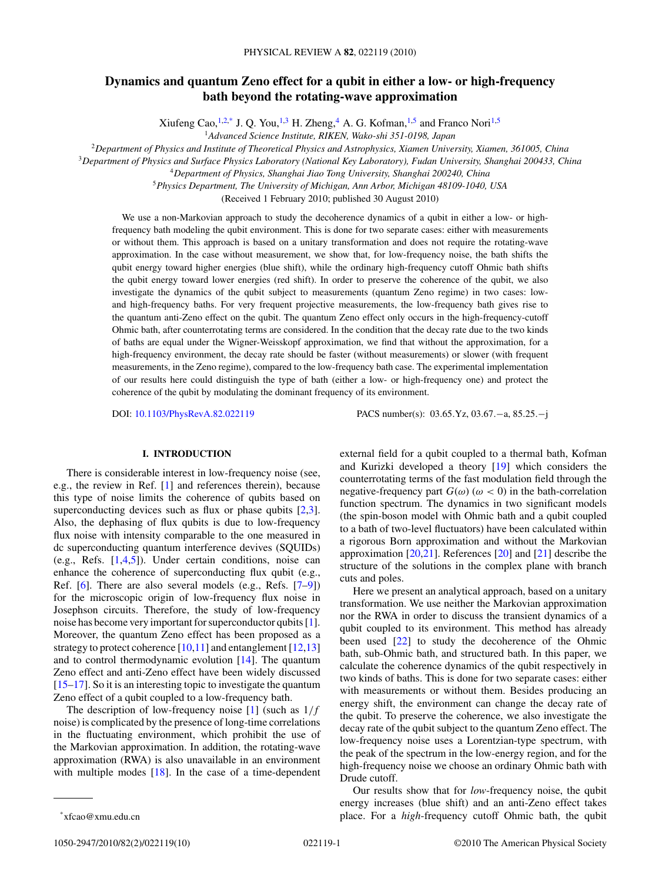# **Dynamics and quantum Zeno effect for a qubit in either a low- or high-frequency bath beyond the rotating-wave approximation**

Xiufeng Cao,  $^{1,2,*}$  J. Q. You,  $^{1,3}$  H. Zheng,  $^{4}$  A. G. Kofman,  $^{1,5}$  and Franco Nori<sup>1,5</sup>

<sup>1</sup>*Advanced Science Institute, RIKEN, Wako-shi 351-0198, Japan*

<sup>2</sup>*Department of Physics and Institute of Theoretical Physics and Astrophysics, Xiamen University, Xiamen, 361005, China*

<sup>3</sup>*Department of Physics and Surface Physics Laboratory (National Key Laboratory), Fudan University, Shanghai 200433, China*

<sup>5</sup>*Physics Department, The University of Michigan, Ann Arbor, Michigan 48109-1040, USA*

(Received 1 February 2010; published 30 August 2010)

We use a non-Markovian approach to study the decoherence dynamics of a qubit in either a low- or highfrequency bath modeling the qubit environment. This is done for two separate cases: either with measurements or without them. This approach is based on a unitary transformation and does not require the rotating-wave approximation. In the case without measurement, we show that, for low-frequency noise, the bath shifts the qubit energy toward higher energies (blue shift), while the ordinary high-frequency cutoff Ohmic bath shifts the qubit energy toward lower energies (red shift). In order to preserve the coherence of the qubit, we also investigate the dynamics of the qubit subject to measurements (quantum Zeno regime) in two cases: lowand high-frequency baths. For very frequent projective measurements, the low-frequency bath gives rise to the quantum anti-Zeno effect on the qubit. The quantum Zeno effect only occurs in the high-frequency-cutoff Ohmic bath, after counterrotating terms are considered. In the condition that the decay rate due to the two kinds of baths are equal under the Wigner-Weisskopf approximation, we find that without the approximation, for a high-frequency environment, the decay rate should be faster (without measurements) or slower (with frequent measurements, in the Zeno regime), compared to the low-frequency bath case. The experimental implementation of our results here could distinguish the type of bath (either a low- or high-frequency one) and protect the coherence of the qubit by modulating the dominant frequency of its environment.

DOI: [10.1103/PhysRevA.82.022119](http://dx.doi.org/10.1103/PhysRevA.82.022119) PACS number(s): 03*.*65*.*Yz, 03*.*67*.*−a, 85*.*25*.*−j

### **I. INTRODUCTION**

There is considerable interest in low-frequency noise (see, e.g., the review in Ref. [\[1\]](#page-8-0) and references therein), because this type of noise limits the coherence of qubits based on superconducting devices such as flux or phase qubits [\[2,3\]](#page-8-0). Also, the dephasing of flux qubits is due to low-frequency flux noise with intensity comparable to the one measured in dc superconducting quantum interference devives (SQUIDs) (e.g., Refs. [\[1,4,5\]](#page-8-0)). Under certain conditions, noise can enhance the coherence of superconducting flux qubit (e.g., Ref. [\[6\]](#page-8-0). There are also several models (e.g., Refs. [\[7–9\]](#page-8-0)) for the microscopic origin of low-frequency flux noise in Josephson circuits. Therefore, the study of low-frequency noise has become very important for superconductor qubits [\[1\]](#page-8-0). Moreover, the quantum Zeno effect has been proposed as a strategy to protect coherence  $[10,11]$  and entanglement  $[12,13]$ and to control thermodynamic evolution [\[14\]](#page-9-0). The quantum Zeno effect and anti-Zeno effect have been widely discussed [\[15–17\]](#page-9-0). So it is an interesting topic to investigate the quantum Zeno effect of a qubit coupled to a low-frequency bath.

The description of low-frequency noise [\[1\]](#page-8-0) (such as 1*/f* noise) is complicated by the presence of long-time correlations in the fluctuating environment, which prohibit the use of the Markovian approximation. In addition, the rotating-wave approximation (RWA) is also unavailable in an environment with multiple modes  $[18]$ . In the case of a time-dependent

external field for a qubit coupled to a thermal bath, Kofman and Kurizki developed a theory [\[19\]](#page-9-0) which considers the counterrotating terms of the fast modulation field through the negative-frequency part  $G(\omega)$  ( $\omega$  < 0) in the bath-correlation function spectrum. The dynamics in two significant models (the spin-boson model with Ohmic bath and a qubit coupled to a bath of two-level fluctuators) have been calculated within a rigorous Born approximation and without the Markovian approximation [\[20,21\]](#page-9-0). References [\[20\]](#page-9-0) and [\[21\]](#page-9-0) describe the structure of the solutions in the complex plane with branch cuts and poles.

Here we present an analytical approach, based on a unitary transformation. We use neither the Markovian approximation nor the RWA in order to discuss the transient dynamics of a qubit coupled to its environment. This method has already been used [\[22\]](#page-9-0) to study the decoherence of the Ohmic bath, sub-Ohmic bath, and structured bath. In this paper, we calculate the coherence dynamics of the qubit respectively in two kinds of baths. This is done for two separate cases: either with measurements or without them. Besides producing an energy shift, the environment can change the decay rate of the qubit. To preserve the coherence, we also investigate the decay rate of the qubit subject to the quantum Zeno effect. The low-frequency noise uses a Lorentzian-type spectrum, with the peak of the spectrum in the low-energy region, and for the high-frequency noise we choose an ordinary Ohmic bath with Drude cutoff.

Our results show that for *low*-frequency noise, the qubit energy increases (blue shift) and an anti-Zeno effect takes place. For a *high*-frequency cutoff Ohmic bath, the qubit

<sup>4</sup>*Department of Physics, Shanghai Jiao Tong University, Shanghai 200240, China*

<sup>\*</sup>xfcao@xmu.edu.cn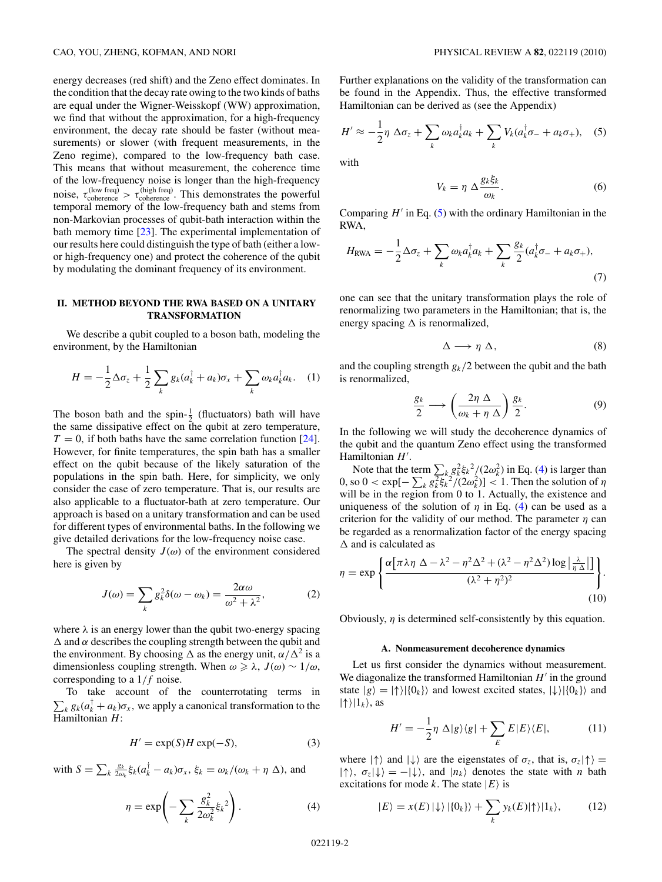<span id="page-1-0"></span>energy decreases (red shift) and the Zeno effect dominates. In the condition that the decay rate owing to the two kinds of baths are equal under the Wigner-Weisskopf (WW) approximation, we find that without the approximation, for a high-frequency environment, the decay rate should be faster (without measurements) or slower (with frequent measurements, in the Zeno regime), compared to the low-frequency bath case. This means that without measurement, the coherence time of the low-frequency noise is longer than the high-frequency noise,  $\tau_{\text{coherence}}^{(\text{low freq})} > \tau_{\text{coherence}}^{(\text{high freq})}$ . This demonstrates the powerful temporal memory of the low-frequency bath and stems from non-Markovian processes of qubit-bath interaction within the bath memory time [\[23\]](#page-9-0). The experimental implementation of our results here could distinguish the type of bath (either a lowor high-frequency one) and protect the coherence of the qubit by modulating the dominant frequency of its environment.

# **II. METHOD BEYOND THE RWA BASED ON A UNITARY TRANSFORMATION**

We describe a qubit coupled to a boson bath, modeling the environment, by the Hamiltonian

$$
H = -\frac{1}{2}\Delta\sigma_z + \frac{1}{2}\sum_k g_k (a_k^{\dagger} + a_k)\sigma_x + \sum_k \omega_k a_k^{\dagger} a_k. \quad (1)
$$

The boson bath and the spin- $\frac{1}{2}$  (fluctuators) bath will have the same dissipative effect on the qubit at zero temperature,  $T = 0$ , if both baths have the same correlation function [\[24\]](#page-9-0). However, for finite temperatures, the spin bath has a smaller effect on the qubit because of the likely saturation of the populations in the spin bath. Here, for simplicity, we only consider the case of zero temperature. That is, our results are also applicable to a fluctuator-bath at zero temperature. Our approach is based on a unitary transformation and can be used for different types of environmental baths. In the following we give detailed derivations for the low-frequency noise case.

The spectral density  $J(\omega)$  of the environment considered here is given by

$$
J(\omega) = \sum_{k} g_k^2 \delta(\omega - \omega_k) = \frac{2\alpha\omega}{\omega^2 + \lambda^2},
$$
 (2)

where  $\lambda$  is an energy lower than the qubit two-energy spacing  $\Delta$  and  $\alpha$  describes the coupling strength between the qubit and the environment. By choosing  $\Delta$  as the energy unit,  $\alpha/\Delta^2$  is a dimensionless coupling strength. When  $\omega \ge \lambda$ ,  $J(\omega) \sim 1/\omega$ , corresponding to a 1*/f* noise.

To take account of the counterrotating terms in  $\sum_{k} g_{k}(a_{k}^{\dagger} + a_{k})\sigma_{x}$ , we apply a canonical transformation to the Hamiltonian *H*:

$$
H' = \exp(S)H \exp(-S),\tag{3}
$$

with  $S = \sum_{k} \frac{g_k}{2\omega}$  $\frac{g_k}{2\omega_k}$ ξ<sub>k</sub>( $a_k^{\dagger} - a_k$ ) $\sigma_x$ , ξ<sub>k</sub> =  $\omega_k$ /( $\omega_k + \eta$  Δ), and

$$
\eta = \exp\left(-\sum_{k} \frac{g_k^2}{2\omega_k^2} \xi_k^2\right). \tag{4}
$$

Further explanations on the validity of the transformation can be found in the Appendix. Thus, the effective transformed Hamiltonian can be derived as (see the Appendix)

$$
H' \approx -\frac{1}{2}\eta \Delta \sigma_z + \sum_k \omega_k a_k^\dagger a_k + \sum_k V_k (a_k^\dagger \sigma_- + a_k \sigma_+), \quad (5)
$$

with

$$
V_k = \eta \Delta \frac{g_k \xi_k}{\omega_k}.
$$
 (6)

Comparing  $H'$  in Eq. (5) with the ordinary Hamiltonian in the RWA,

$$
H_{\text{RWA}} = -\frac{1}{2}\Delta\sigma_z + \sum_k \omega_k a_k^\dagger a_k + \sum_k \frac{g_k}{2} (a_k^\dagger \sigma_- + a_k \sigma_+),
$$
\n(7)

one can see that the unitary transformation plays the role of renormalizing two parameters in the Hamiltonian; that is, the energy spacing  $\Delta$  is renormalized,

$$
\Delta \longrightarrow \eta \, \Delta, \tag{8}
$$

and the coupling strength  $g_k/2$  between the qubit and the bath is renormalized,

$$
\frac{g_k}{2} \longrightarrow \left(\frac{2\eta \Delta}{\omega_k + \eta \Delta}\right) \frac{g_k}{2}.\tag{9}
$$

In the following we will study the decoherence dynamics of the qubit and the quantum Zeno effect using the transformed Hamiltonian H'.

Note that the term  $\sum_{k} g_k^2 \xi_k^2 / (2\omega_k^2)$  in Eq. (4) is larger than 0, so 0 < exp[ $-\sum_k g_k^2 \xi_k^2/(2\omega_k^2)$ ] < 1. Then the solution of *η* will be in the region from 0 to 1. Actually, the existence and uniqueness of the solution of  $\eta$  in Eq. (4) can be used as a criterion for the validity of our method. The parameter *η* can be regarded as a renormalization factor of the energy spacing  $\Delta$  and is calculated as

$$
\eta = \exp\left\{\frac{\alpha\left[\pi\lambda\eta \ \Delta - \lambda^2 - \eta^2\Delta^2 + (\lambda^2 - \eta^2\Delta^2)\log\left|\frac{\lambda}{\eta \Delta}\right|\right]}{(\lambda^2 + \eta^2)^2}\right\}.
$$
\n(10)

Obviously, *η* is determined self-consistently by this equation.

#### **A. Nonmeasurement decoherence dynamics**

Let us first consider the dynamics without measurement. We diagonalize the transformed Hamiltonian  $H'$  in the ground state  $|g\rangle = |{\uparrow}\rangle |\{0_k\}\rangle$  and lowest excited states,  $|\downarrow\rangle |\{0_k\}\rangle$  and  $|\!\uparrow\rangle\!\!\mid\!\!1_k\rangle$ , as

$$
H' = -\frac{1}{2}\eta \Delta|g\rangle\langle g| + \sum_{E} E|E\rangle\langle E|, \tag{11}
$$

where  $|\uparrow\rangle$  and  $|\downarrow\rangle$  are the eigenstates of  $\sigma_z$ , that is,  $\sigma_z|\uparrow\rangle$  =  $|\uparrow\rangle$ ,  $\sigma_z|\downarrow\rangle = -|\downarrow\rangle$ , and  $|n_k\rangle$  denotes the state with *n* bath excitations for mode *k*. The state  $|E\rangle$  is

$$
|E\rangle = x(E) \left|\downarrow\right\rangle \left|\left\{0_k\right\}\right\rangle + \sum_k y_k(E) |\uparrow\rangle|1_k\rangle, \tag{12}
$$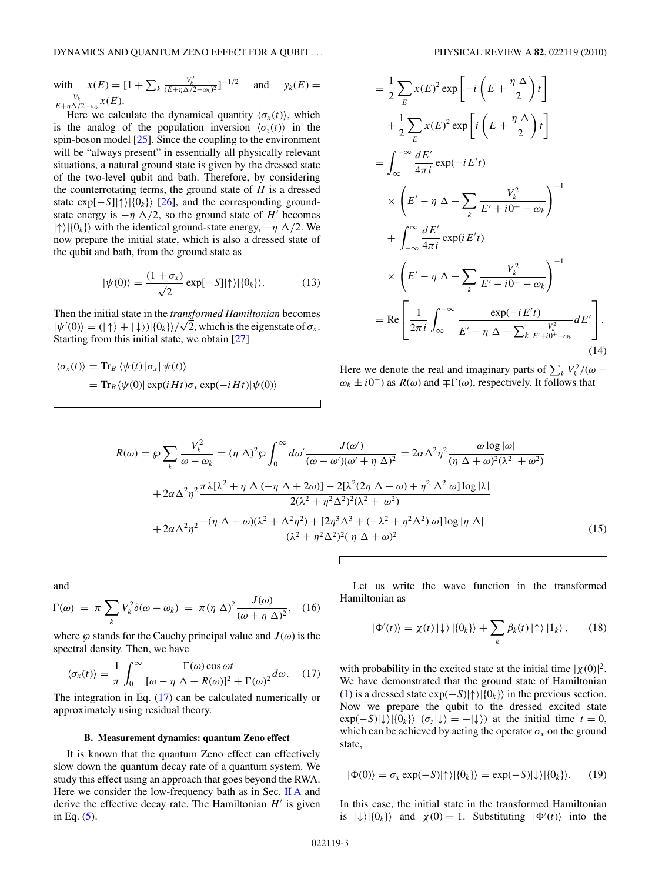<span id="page-2-0"></span>with 
$$
x(E) = [1 + \sum_{k} \frac{V_k^2}{(E + \eta \Delta/2 - \omega_k)^2}]^{-1/2}
$$
 and  $y_k(E) = \frac{V_k}{E + \eta \Delta/2 - \omega_k} x(E)$ .

*E*+*η*Δ/2−*ω<sub>k</sub>*  $\alpha$ (*L*).<br>Here we calculate the dynamical quantity  $\langle \sigma_x(t) \rangle$ , which is the analog of the population inversion  $\langle \sigma_z(t) \rangle$  in the spin-boson model [\[25\]](#page-9-0). Since the coupling to the environment will be "always present" in essentially all physically relevant situations, a natural ground state is given by the dressed state of the two-level qubit and bath. Therefore, by considering the counterrotating terms, the ground state of *H* is a dressed state  $\exp[-S]|\!\uparrow\rangle|\{0_k\}\rangle$  [\[26\]](#page-9-0), and the corresponding groundstate energy is  $-\eta \Delta/2$ , so the ground state of *H*<sup>*'*</sup> becomes  $|\uparrow\rangle|\{0_k\}\rangle$  with the identical ground-state energy,  $-\eta \Delta/2$ . We now prepare the initial state, which is also a dressed state of the qubit and bath, from the ground state as

$$
|\psi(0)\rangle = \frac{(1+\sigma_x)}{\sqrt{2}} \exp[-S]|\!\uparrow\rangle|\{0_k\}\rangle. \tag{13}
$$

Then the initial state in the *transformed Hamiltonian* becomes Then the initial state in the *transformed Hamiltonian* becomes  $|\psi'(0)\rangle = (|\uparrow\rangle + |\downarrow\rangle)|\{0_k\}\rangle/\sqrt{2}$ , which is the eigenstate of  $\sigma_x$ . Starting from this initial state, we obtain [\[27\]](#page-9-0)

$$
\langle \sigma_x(t) \rangle = \text{Tr}_B \langle \psi(t) | \sigma_x | \psi(t) \rangle
$$
  
=  $\text{Tr}_B \langle \psi(0) | \exp(iHt) \sigma_x \exp(-iHt) | \psi(0) \rangle$ 

$$
= \frac{1}{2} \sum_{E} x(E)^2 \exp\left[-i\left(E + \frac{\eta \Delta}{2}\right)t\right]
$$
  
+ 
$$
\frac{1}{2} \sum_{E} x(E)^2 \exp\left[i\left(E + \frac{\eta \Delta}{2}\right)t\right]
$$
  
= 
$$
\int_{\infty}^{-\infty} \frac{dE'}{4\pi i} \exp(-iE't)
$$
  

$$
\times \left(E' - \eta \Delta - \sum_{k} \frac{V_k^2}{E' + i0^+ - \omega_k}\right)^{-1}
$$
  
+ 
$$
\int_{-\infty}^{\infty} \frac{dE'}{4\pi i} \exp(iE't)
$$
  

$$
\times \left(E' - \eta \Delta - \sum_{k} \frac{V_k^2}{E' - i0^+ - \omega_k}\right)^{-1}
$$
  
= Re 
$$
\left[\frac{1}{2\pi i} \int_{\infty}^{-\infty} \frac{\exp(-iE't)}{E' - \eta \Delta - \sum_{k} \frac{V_k^2}{E' + i0^+ - \omega_k}} dE'\right].
$$
(14)

Here we denote the real and imaginary parts of  $\sum_{k} V_k^2 / (\omega \omega_k \pm i0^+$  as  $R(\omega)$  and  $\mp \Gamma(\omega)$ , respectively. It follows that

$$
R(\omega) = \wp \sum_{k} \frac{V_{k}^{2}}{\omega - \omega_{k}} = (\eta \Delta)^{2} \wp \int_{0}^{\infty} d\omega' \frac{J(\omega')}{(\omega - \omega')(\omega' + \eta \Delta)^{2}} = 2\alpha \Delta^{2} \eta^{2} \frac{\omega \log |\omega|}{(\eta \Delta + \omega)^{2}(\lambda^{2} + \omega^{2})}
$$

$$
+ 2\alpha \Delta^{2} \eta^{2} \frac{\pi \lambda [\lambda^{2} + \eta \Delta(-\eta \Delta + 2\omega)] - 2[\lambda^{2}(2\eta \Delta - \omega) + \eta^{2} \Delta^{2} \omega] \log |\lambda|}{2(\lambda^{2} + \eta^{2} \Delta^{2})^{2}(\lambda^{2} + \omega^{2})}
$$

$$
+ 2\alpha \Delta^{2} \eta^{2} \frac{-(\eta \Delta + \omega)(\lambda^{2} + \Delta^{2} \eta^{2}) + [2\eta^{3} \Delta^{3} + (-\lambda^{2} + \eta^{2} \Delta^{2}) \omega] \log |\eta \Delta|}{(\lambda^{2} + \eta^{2} \Delta^{2})^{2}(\eta \Delta + \omega)^{2}}
$$
(15)

and

$$
\Gamma(\omega) = \pi \sum_{k} V_k^2 \delta(\omega - \omega_k) = \pi (\eta \Delta)^2 \frac{J(\omega)}{(\omega + \eta \Delta)^2}, \quad (16)
$$

where  $\wp$  stands for the Cauchy principal value and  $J(\omega)$  is the spectral density. Then, we have

$$
\langle \sigma_x(t) \rangle = \frac{1}{\pi} \int_0^\infty \frac{\Gamma(\omega) \cos \omega t}{[\omega - \eta \Delta - R(\omega)]^2 + \Gamma(\omega)^2} d\omega. \quad (17)
$$

The integration in Eq. (17) can be calculated numerically or approximately using residual theory.

### **B. Measurement dynamics: quantum Zeno effect**

It is known that the quantum Zeno effect can effectively slow down the quantum decay rate of a quantum system. We study this effect using an approach that goes beyond the RWA. Here we consider the low-frequency bath as in Sec. [II A](#page-1-0) and derive the effective decay rate. The Hamiltonian  $H'$  is given in Eq. [\(5\)](#page-1-0).

Let us write the wave function in the transformed Hamiltonian as

$$
|\Phi'(t)\rangle = \chi(t) |\downarrow\rangle |\{0_k\}\rangle + \sum_k \beta_k(t) |\uparrow\rangle |1_k\rangle, \qquad (18)
$$

with probability in the excited state at the initial time  $|\chi(0)|^2$ . We have demonstrated that the ground state of Hamiltonian [\(1\)](#page-1-0) is a dressed state  $exp(-S)|\uparrow\rangle |\{0_k\}\rangle$  in the previous section. Now we prepare the qubit to the dressed excited state  $\exp(-S)|\psi\rangle|\{0_k\}\rangle$  ( $\sigma_z|\psi\rangle = -|\psi\rangle$ ) at the initial time  $t = 0$ , which can be achieved by acting the operator  $\sigma_x$  on the ground state,

$$
|\Phi(0)\rangle = \sigma_x \exp(-S)|\!\!\uparrow\rangle |\{0_k\}\rangle = \exp(-S)|\!\!\downarrow\rangle |\{0_k\}\rangle. \qquad (19)
$$

In this case, the initial state in the transformed Hamiltonian is  $|\psi\rangle|\{0_k\}\rangle$  and  $\chi(0) = 1$ . Substituting  $|\Phi'(t)\rangle$  into the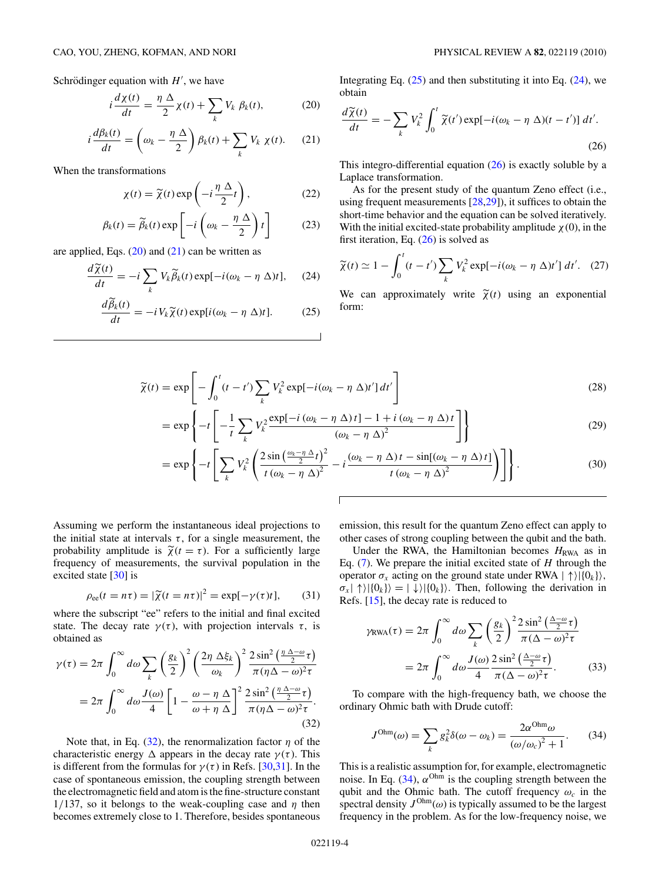<span id="page-3-0"></span>Schrödinger equation with  $H'$ , we have

$$
i\frac{d\chi(t)}{dt} = \frac{\eta \Delta}{2}\chi(t) + \sum_{k} V_k \beta_k(t), \tag{20}
$$

$$
i\frac{d\beta_k(t)}{dt} = \left(\omega_k - \frac{\eta \Delta}{2}\right)\beta_k(t) + \sum_k V_k \chi(t). \tag{21}
$$

When the transformations

$$
\chi(t) = \widetilde{\chi}(t) \exp\left(-i\frac{\eta \Delta}{2}t\right),\tag{22}
$$

$$
\beta_k(t) = \widetilde{\beta}_k(t) \exp\left[-i\left(\omega_k - \frac{\eta \Delta}{2}\right)t\right]
$$
 (23)

are applied, Eqs.  $(20)$  and  $(21)$  can be written as

$$
\frac{d\widetilde{\chi}(t)}{dt} = -i \sum_{k} V_{k} \widetilde{\beta}_{k}(t) \exp[-i(\omega_{k} - \eta \ \Delta)t], \quad (24)
$$

$$
\frac{d\widetilde{\beta}_k(t)}{dt} = -i V_k \widetilde{\chi}(t) \exp[i(\omega_k - \eta \Delta)t]. \tag{25}
$$

Integrating Eq.  $(25)$  and then substituting it into Eq.  $(24)$ , we obtain

$$
\frac{d\widetilde{\chi}(t)}{dt} = -\sum_{k} V_{k}^{2} \int_{0}^{t} \widetilde{\chi}(t') \exp[-i(\omega_{k} - \eta \Delta)(t - t')] dt'.
$$
\n(26)

This integro-differential equation (26) is exactly soluble by a Laplace transformation.

As for the present study of the quantum Zeno effect (i.e., using frequent measurements [\[28,29\]](#page-9-0)), it suffices to obtain the short-time behavior and the equation can be solved iteratively. With the initial excited-state probability amplitude  $\chi(0)$ , in the first iteration, Eq. (26) is solved as

$$
\widetilde{\chi}(t) \simeq 1 - \int_0^t (t - t') \sum_k V_k^2 \exp[-i(\omega_k - \eta \Delta)t'] dt'. \quad (27)
$$

We can approximately write  $\tilde{\chi}(t)$  using an exponential form:

$$
\widetilde{\chi}(t) = \exp\left[-\int_0^t (t - t') \sum_k V_k^2 \exp[-i(\omega_k - \eta \Delta)t'] dt'\right]
$$
\n(28)

$$
= \exp\left\{-t\left[-\frac{1}{t}\sum_{k}V_{k}^{2}\frac{\exp[-i(\omega_{k}-\eta\Delta)t]-1+i(\omega_{k}-\eta\Delta)t}{(\omega_{k}-\eta\Delta)^{2}}\right]\right\}
$$
(29)

$$
= \exp\left\{-t\left[\sum_{k} V_{k}^{2}\left(\frac{2\sin\left(\frac{\omega_{k}-\eta\,\Delta}{2}t\right)^{2}}{t\left(\omega_{k}-\eta\,\Delta\right)^{2}}-i\frac{\left(\omega_{k}-\eta\,\Delta\right)t-\sin\left(\omega_{k}-\eta\,\Delta\right)t\right]}{t\left(\omega_{k}-\eta\,\Delta\right)^{2}}\right)\right]\right\}.
$$
\n(30)

Assuming we perform the instantaneous ideal projections to the initial state at intervals  $\tau$ , for a single measurement, the probability amplitude is  $\tilde{\chi}(t = \tau)$ . For a sufficiently large frequency of measurements, the survival population in the excited state [\[30\]](#page-9-0) is

$$
\rho_{ee}(t = n\tau) = |\widetilde{\chi}(t = n\tau)|^2 = \exp[-\gamma(\tau)t],\qquad(31)
$$

where the subscript "ee" refers to the initial and final excited state. The decay rate  $\gamma(\tau)$ , with projection intervals  $\tau$ , is obtained as

$$
\gamma(\tau) = 2\pi \int_0^{\infty} d\omega \sum_k \left(\frac{g_k}{2}\right)^2 \left(\frac{2\eta \Delta \xi_k}{\omega_k}\right)^2 \frac{2 \sin^2 \left(\frac{\eta \Delta - \omega}{2}\tau\right)}{\pi (\eta \Delta - \omega)^2 \tau}
$$

$$
= 2\pi \int_0^{\infty} d\omega \frac{J(\omega)}{4} \left[1 - \frac{\omega - \eta \Delta}{\omega + \eta \Delta}\right]^2 \frac{2 \sin^2 \left(\frac{\eta \Delta - \omega}{2}\tau\right)}{\pi (\eta \Delta - \omega)^2 \tau}.
$$
(32)

Note that, in Eq.  $(32)$ , the renormalization factor  $\eta$  of the characteristic energy  $\Delta$  appears in the decay rate  $\gamma(\tau)$ . This is different from the formulas for  $\gamma(\tau)$  in Refs. [\[30,31\]](#page-9-0). In the case of spontaneous emission, the coupling strength between the electromagnetic field and atom is the fine-structure constant 1/137, so it belongs to the weak-coupling case and  $\eta$  then becomes extremely close to 1. Therefore, besides spontaneous

emission, this result for the quantum Zeno effect can apply to other cases of strong coupling between the qubit and the bath.

Under the RWA, the Hamiltonian becomes  $H_{\text{RWA}}$  as in Eq. [\(7\)](#page-1-0). We prepare the initial excited state of *H* through the operator  $\sigma_x$  acting on the ground state under RWA  $| \uparrow \rangle | \{0_k\} \rangle$ ,  $\sigma_x$ |  $\{\rangle | \{0_k\} \rangle = | \downarrow \rangle | \{0_k\} \rangle$ . Then, following the derivation in Refs. [\[15\]](#page-9-0), the decay rate is reduced to

$$
\gamma_{\text{RWA}}(\tau) = 2\pi \int_0^\infty d\omega \sum_k \left(\frac{g_k}{2}\right)^2 \frac{2\sin^2\left(\frac{\Delta - \omega}{2}\tau\right)}{\pi(\Delta - \omega)^2 \tau}
$$

$$
= 2\pi \int_0^\infty d\omega \frac{J(\omega)}{4} \frac{2\sin^2\left(\frac{\Delta - \omega}{2}\tau\right)}{\pi(\Delta - \omega)^2 \tau}.
$$
(33)

To compare with the high-frequency bath, we choose the ordinary Ohmic bath with Drude cutoff:

$$
J^{\text{Ohm}}(\omega) = \sum_{k} g_k^2 \delta(\omega - \omega_k) = \frac{2\alpha^{\text{Ohm}}\omega}{(\omega/\omega_c)^2 + 1}.
$$
 (34)

This is a realistic assumption for, for example, electromagnetic noise. In Eq.  $(34)$ ,  $\alpha$ <sup>Ohm</sup> is the coupling strength between the qubit and the Ohmic bath. The cutoff frequency  $\omega_c$  in the spectral density  $J^{\text{Ohm}}(\omega)$  is typically assumed to be the largest frequency in the problem. As for the low-frequency noise, we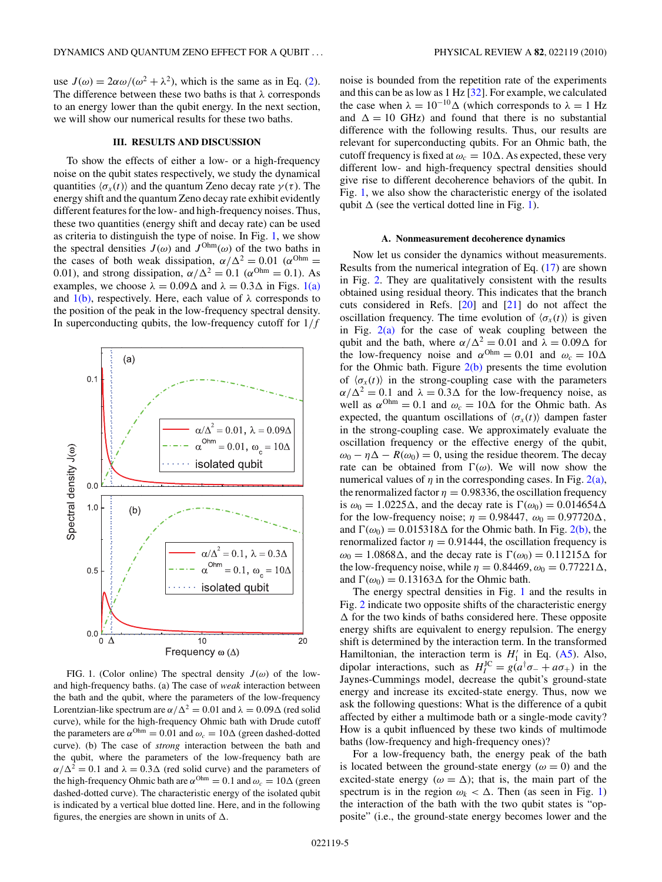<span id="page-4-0"></span>use  $J(\omega) = 2\alpha\omega/(\omega^2 + \lambda^2)$ , which is the same as in Eq. [\(2\)](#page-1-0). The difference between these two baths is that *λ* corresponds to an energy lower than the qubit energy. In the next section, we will show our numerical results for these two baths.

## **III. RESULTS AND DISCUSSION**

To show the effects of either a low- or a high-frequency noise on the qubit states respectively, we study the dynamical quantities  $\langle \sigma_x(t) \rangle$  and the quantum Zeno decay rate  $\gamma(\tau)$ . The energy shift and the quantum Zeno decay rate exhibit evidently different features for the low- and high-frequency noises. Thus, these two quantities (energy shift and decay rate) can be used as criteria to distinguish the type of noise. In Fig. 1, we show the spectral densities  $J(\omega)$  and  $J^{Ohm}(\omega)$  of the two baths in the cases of both weak dissipation,  $\alpha/\Delta^2 = 0.01$  ( $\alpha^{Ohm} =$ 0.01), and strong dissipation,  $\alpha/\Delta^2 = 0.1$  ( $\alpha^{Ohm} = 0.1$ ). As examples, we choose  $\lambda = 0.09\Delta$  and  $\lambda = 0.3\Delta$  in Figs. 1(a) and  $1(b)$ , respectively. Here, each value of  $\lambda$  corresponds to the position of the peak in the low-frequency spectral density. In superconducting qubits, the low-frequency cutoff for 1*/f*



FIG. 1. (Color online) The spectral density  $J(\omega)$  of the lowand high-frequency baths. (a) The case of *weak* interaction between the bath and the qubit, where the parameters of the low-frequency Lorentzian-like spectrum are  $\alpha/\Delta^2 = 0.01$  and  $\lambda = 0.09\Delta$  (red solid curve), while for the high-frequency Ohmic bath with Drude cutoff the parameters are  $\alpha^{Ohm} = 0.01$  and  $\omega_c = 10\Delta$  (green dashed-dotted curve). (b) The case of *strong* interaction between the bath and the qubit, where the parameters of the low-frequency bath are  $\alpha/\Delta^2 = 0.1$  and  $\lambda = 0.3\Delta$  (red solid curve) and the parameters of the high-frequency Ohmic bath are  $\alpha^{\text{Ohm}} = 0.1$  and  $\omega_c = 10\Delta$  (green dashed-dotted curve). The characteristic energy of the isolated qubit is indicated by a vertical blue dotted line. Here, and in the following figures, the energies are shown in units of  $\Delta$ .

noise is bounded from the repetition rate of the experiments and this can be as low as 1 Hz [\[32\]](#page-9-0). For example, we calculated the case when  $\lambda = 10^{-10} \Delta$  (which corresponds to  $\lambda = 1$  Hz and  $\Delta = 10$  GHz) and found that there is no substantial difference with the following results. Thus, our results are relevant for superconducting qubits. For an Ohmic bath, the cutoff frequency is fixed at  $\omega_c = 10\Delta$ . As expected, these very different low- and high-frequency spectral densities should give rise to different decoherence behaviors of the qubit. In Fig. 1, we also show the characteristic energy of the isolated qubit  $\Delta$  (see the vertical dotted line in Fig. 1).

#### **A. Nonmeasurement decoherence dynamics**

Now let us consider the dynamics without measurements. Results from the numerical integration of Eq. [\(17\)](#page-2-0) are shown in Fig. [2.](#page-5-0) They are qualitatively consistent with the results obtained using residual theory. This indicates that the branch cuts considered in Refs. [\[20\]](#page-9-0) and [\[21\]](#page-9-0) do not affect the oscillation frequency. The time evolution of  $\langle \sigma_x(t) \rangle$  is given in Fig.  $2(a)$  for the case of weak coupling between the qubit and the bath, where  $\alpha/\Delta^2 = 0.01$  and  $\lambda = 0.09\Delta$  for the low-frequency noise and  $\alpha^{Ohm} = 0.01$  and  $\omega_c = 10\Delta$ for the Ohmic bath. Figure  $2(b)$  presents the time evolution of  $\langle \sigma_x(t) \rangle$  in the strong-coupling case with the parameters  $\alpha/\Delta^2 = 0.1$  and  $\lambda = 0.3\Delta$  for the low-frequency noise, as well as  $\alpha^{Ohm} = 0.1$  and  $\omega_c = 10\Delta$  for the Ohmic bath. As expected, the quantum oscillations of  $\langle \sigma_x(t) \rangle$  dampen faster in the strong-coupling case. We approximately evaluate the oscillation frequency or the effective energy of the qubit,  $\omega_0 - \eta \Delta - R(\omega_0) = 0$ , using the residue theorem. The decay rate can be obtained from  $\Gamma(\omega)$ . We will now show the numerical values of  $\eta$  in the corresponding cases. In Fig. [2\(a\),](#page-5-0) the renormalized factor  $\eta = 0.98336$ , the oscillation frequency is  $\omega_0 = 1.0225\Delta$ , and the decay rate is  $\Gamma(\omega_0) = 0.014654\Delta$ for the low-frequency noise;  $\eta = 0.98447$ ,  $\omega_0 = 0.97720\Delta$ , and  $\Gamma(\omega_0) = 0.015318\Delta$  for the Ohmic bath. In Fig. [2\(b\),](#page-5-0) the renormalized factor  $\eta = 0.91444$ , the oscillation frequency is  $\omega_0 = 1.0868\Delta$ , and the decay rate is  $\Gamma(\omega_0) = 0.11215\Delta$  for the low-frequency noise, while  $\eta = 0.84469$ ,  $\omega_0 = 0.77221\Delta$ , and  $\Gamma(\omega_0) = 0.13163\Delta$  for the Ohmic bath.

The energy spectral densities in Fig. 1 and the results in Fig. [2](#page-5-0) indicate two opposite shifts of the characteristic energy  $\Delta$  for the two kinds of baths considered here. These opposite energy shifts are equivalent to energy repulsion. The energy shift is determined by the interaction term. In the transformed Hamiltonian, the interaction term is  $H'_1$  in Eq. [\(A5\)](#page-8-0). Also, dipolar interactions, such as  $H_I^{JC} = g(a^{\dagger} \sigma_- + a \sigma_+)$  in the Jaynes-Cummings model, decrease the qubit's ground-state energy and increase its excited-state energy. Thus, now we ask the following questions: What is the difference of a qubit affected by either a multimode bath or a single-mode cavity? How is a qubit influenced by these two kinds of multimode baths (low-frequency and high-frequency ones)?

For a low-frequency bath, the energy peak of the bath is located between the ground-state energy  $(\omega = 0)$  and the excited-state energy ( $\omega = \Delta$ ); that is, the main part of the spectrum is in the region  $\omega_k < \Delta$ . Then (as seen in Fig. 1) the interaction of the bath with the two qubit states is "opposite" (i.e., the ground-state energy becomes lower and the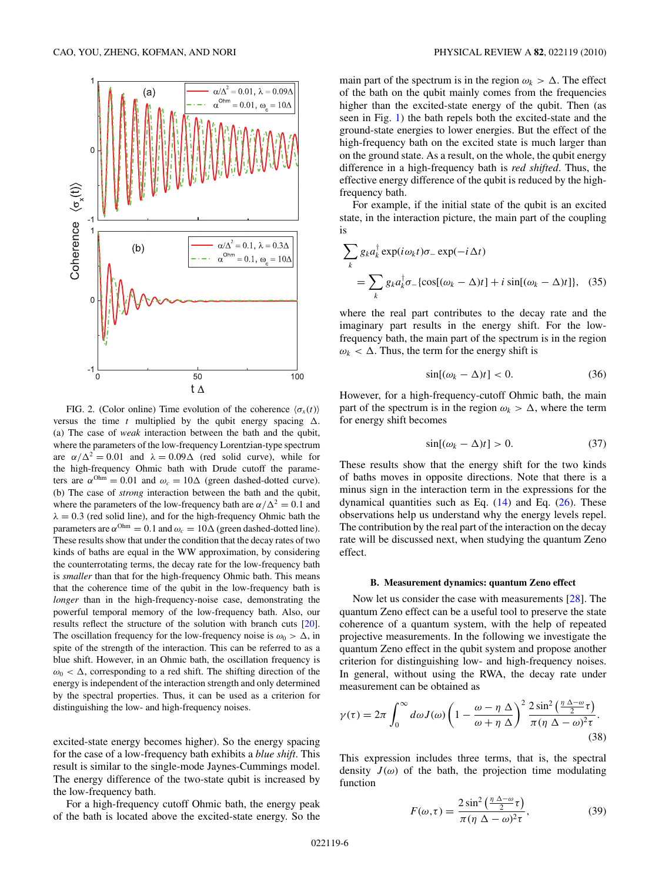<span id="page-5-0"></span>

FIG. 2. (Color online) Time evolution of the coherence  $\langle \sigma_x(t) \rangle$ versus the time  $t$  multiplied by the qubit energy spacing  $\Delta$ . (a) The case of *weak* interaction between the bath and the qubit, where the parameters of the low-frequency Lorentzian-type spectrum are  $\alpha/\Delta^2 = 0.01$  and  $\lambda = 0.09\Delta$  (red solid curve), while for the high-frequency Ohmic bath with Drude cutoff the parameters are  $\alpha^{Ohm} = 0.01$  and  $\omega_c = 10\Delta$  (green dashed-dotted curve). (b) The case of *strong* interaction between the bath and the qubit, where the parameters of the low-frequency bath are  $\alpha/\Delta^2 = 0.1$  and  $\lambda = 0.3$  (red solid line), and for the high-frequency Ohmic bath the parameters are  $\alpha^{Ohm} = 0.1$  and  $\omega_c = 10\Delta$  (green dashed-dotted line). These results show that under the condition that the decay rates of two kinds of baths are equal in the WW approximation, by considering the counterrotating terms, the decay rate for the low-frequency bath is *smaller* than that for the high-frequency Ohmic bath. This means that the coherence time of the qubit in the low-frequency bath is *longer* than in the high-frequency-noise case, demonstrating the powerful temporal memory of the low-frequency bath. Also, our results reflect the structure of the solution with branch cuts [\[20\]](#page-9-0). The oscillation frequency for the low-frequency noise is  $\omega_0 > \Delta$ , in spite of the strength of the interaction. This can be referred to as a blue shift. However, in an Ohmic bath, the oscillation frequency is  $\omega_0 < \Delta$ , corresponding to a red shift. The shifting direction of the energy is independent of the interaction strength and only determined by the spectral properties. Thus, it can be used as a criterion for distinguishing the low- and high-frequency noises.

excited-state energy becomes higher). So the energy spacing for the case of a low-frequency bath exhibits a *blue shift*. This result is similar to the single-mode Jaynes-Cummings model. The energy difference of the two-state qubit is increased by the low-frequency bath.

For a high-frequency cutoff Ohmic bath, the energy peak of the bath is located above the excited-state energy. So the main part of the spectrum is in the region  $\omega_k > \Delta$ . The effect of the bath on the qubit mainly comes from the frequencies higher than the excited-state energy of the qubit. Then (as seen in Fig. [1\)](#page-4-0) the bath repels both the excited-state and the ground-state energies to lower energies. But the effect of the high-frequency bath on the excited state is much larger than on the ground state. As a result, on the whole, the qubit energy difference in a high-frequency bath is *red shifted*. Thus, the effective energy difference of the qubit is reduced by the highfrequency bath.

For example, if the initial state of the qubit is an excited state, in the interaction picture, the main part of the coupling is

$$
\sum_{k} g_{k} a_{k}^{\dagger} \exp(i\omega_{k}t)\sigma_{-} \exp(-i\Delta t)
$$
  
= 
$$
\sum_{k} g_{k} a_{k}^{\dagger} \sigma_{-} \{ \cos[(\omega_{k} - \Delta)t] + i \sin[(\omega_{k} - \Delta)t] \}, (35)
$$

where the real part contributes to the decay rate and the imaginary part results in the energy shift. For the lowfrequency bath, the main part of the spectrum is in the region  $\omega_k < \Delta$ . Thus, the term for the energy shift is

$$
\sin[(\omega_k - \Delta)t] < 0. \tag{36}
$$

However, for a high-frequency-cutoff Ohmic bath, the main part of the spectrum is in the region  $\omega_k > \Delta$ , where the term for energy shift becomes

$$
\sin[(\omega_k - \Delta)t] > 0. \tag{37}
$$

These results show that the energy shift for the two kinds of baths moves in opposite directions. Note that there is a minus sign in the interaction term in the expressions for the dynamical quantities such as Eq.  $(14)$  and Eq.  $(26)$ . These observations help us understand why the energy levels repel. The contribution by the real part of the interaction on the decay rate will be discussed next, when studying the quantum Zeno effect.

### **B. Measurement dynamics: quantum Zeno effect**

Now let us consider the case with measurements [\[28\]](#page-9-0). The quantum Zeno effect can be a useful tool to preserve the state coherence of a quantum system, with the help of repeated projective measurements. In the following we investigate the quantum Zeno effect in the qubit system and propose another criterion for distinguishing low- and high-frequency noises. In general, without using the RWA, the decay rate under measurement can be obtained as

$$
\gamma(\tau) = 2\pi \int_0^\infty d\omega J(\omega) \left(1 - \frac{\omega - \eta \Delta}{\omega + \eta \Delta}\right)^2 \frac{2 \sin^2 \left(\frac{\eta \Delta - \omega}{2}\tau\right)}{\pi (\eta \Delta - \omega)^2 \tau}.
$$
\n(38)

This expression includes three terms, that is, the spectral density  $J(\omega)$  of the bath, the projection time modulating function

$$
F(\omega,\tau) = \frac{2\sin^2\left(\frac{\eta \Delta - \omega}{2}\tau\right)}{\pi(\eta \Delta - \omega)^2 \tau},\tag{39}
$$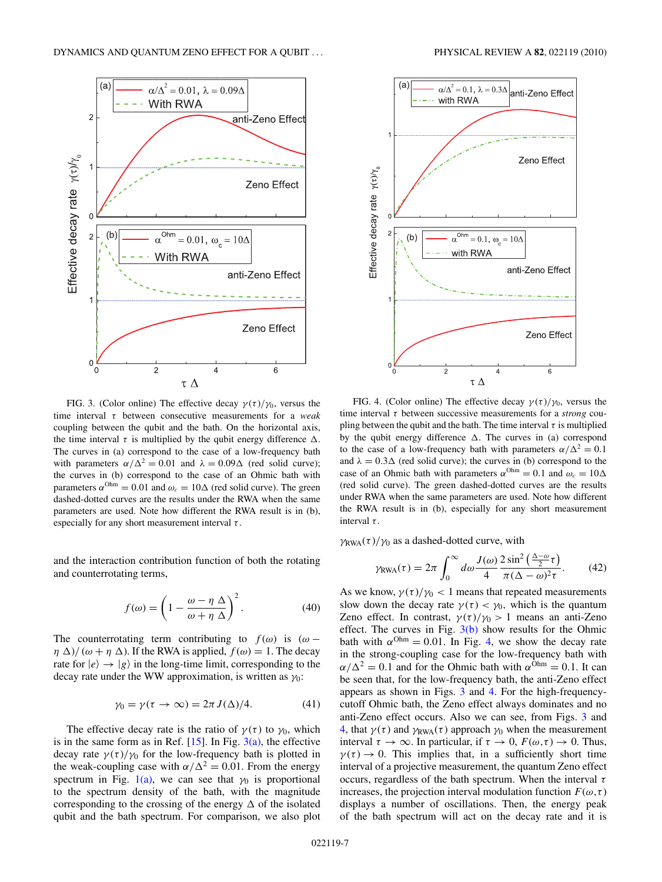

FIG. 3. (Color online) The effective decay  $\gamma(\tau)/\gamma_0$ , versus the time interval *τ* between consecutive measurements for a *weak* coupling between the qubit and the bath. On the horizontal axis, the time interval  $\tau$  is multiplied by the qubit energy difference  $\Delta$ . The curves in (a) correspond to the case of a low-frequency bath with parameters  $\alpha/\Delta^2 = 0.01$  and  $\lambda = 0.09\Delta$  (red solid curve); the curves in (b) correspond to the case of an Ohmic bath with parameters  $\alpha^{Ohm} = 0.01$  and  $\omega_c = 10\Delta$  (red solid curve). The green dashed-dotted curves are the results under the RWA when the same parameters are used. Note how different the RWA result is in (b), especially for any short measurement interval *τ* .

and the interaction contribution function of both the rotating and counterrotating terms,

$$
f(\omega) = \left(1 - \frac{\omega - \eta \Delta}{\omega + \eta \Delta}\right)^2.
$$
 (40)

The counterrotating term contributing to  $f(\omega)$  is  $(\omega$ *η*  $\Delta$ *)* ( $\omega + \eta \Delta$ ). If the RWA is applied,  $f(\omega) = 1$ . The decay rate for  $|e\rangle \rightarrow |g\rangle$  in the long-time limit, corresponding to the decay rate under the WW approximation, is written as *γ*0:

$$
\gamma_0 = \gamma(\tau \to \infty) = 2\pi J(\Delta)/4. \tag{41}
$$

The effective decay rate is the ratio of  $\gamma(\tau)$  to  $\gamma_0$ , which is in the same form as in Ref.  $[15]$ . In Fig.  $3(a)$ , the effective decay rate  $\gamma(\tau)/\gamma_0$  for the low-frequency bath is plotted in the weak-coupling case with  $\alpha/\Delta^2 = 0.01$ . From the energy spectrum in Fig. [1\(a\),](#page-4-0) we can see that  $\gamma_0$  is proportional to the spectrum density of the bath, with the magnitude corresponding to the crossing of the energy  $\Delta$  of the isolated qubit and the bath spectrum. For comparison, we also plot



anti-Zeno Effect

Zeno Effect

6

FIG. 4. (Color online) The effective decay  $\gamma(\tau)/\gamma_0$ , versus the time interval *τ* between successive measurements for a *strong* coupling between the qubit and the bath. The time interval  $\tau$  is multiplied by the qubit energy difference  $\Delta$ . The curves in (a) correspond to the case of a low-frequency bath with parameters  $\alpha/\Delta^2 = 0.1$ and  $\lambda = 0.3\Delta$  (red solid curve); the curves in (b) correspond to the case of an Ohmic bath with parameters  $\alpha^{Ohm} = 0.1$  and  $\omega_c = 10\Delta$ (red solid curve). The green dashed-dotted curves are the results under RWA when the same parameters are used. Note how different the RWA result is in (b), especially for any short measurement interval *τ* .

 $\tau$   $\Delta$ 

with RWA

 $\gamma_{\text{RWA}}(\tau)/\gamma_0$  as a dashed-dotted curve, with

Effective decay rate  $\gamma(\tau)/\gamma_{_0}$ 

 $\overline{0}$ 

$$
\gamma_{\text{RWA}}(\tau) = 2\pi \int_0^\infty d\omega \frac{J(\omega)}{4} \frac{2\sin^2\left(\frac{\Delta - \omega}{2}\tau\right)}{\pi(\Delta - \omega)^2 \tau}.
$$
 (42)

As we know,  $\gamma(\tau)/\gamma_0 < 1$  means that repeated measurements slow down the decay rate  $\gamma(\tau) < \gamma_0$ , which is the quantum Zeno effect. In contrast,  $\gamma(\tau)/\gamma_0 > 1$  means an anti-Zeno effect. The curves in Fig.  $3(b)$  show results for the Ohmic bath with  $\alpha^{Ohm} = 0.01$ . In Fig. 4, we show the decay rate in the strong-coupling case for the low-frequency bath with  $\alpha/\Delta^2 = 0.1$  and for the Ohmic bath with  $\alpha^{\text{Ohm}} = 0.1$ . It can be seen that, for the low-frequency bath, the anti-Zeno effect appears as shown in Figs. 3 and 4. For the high-frequencycutoff Ohmic bath, the Zeno effect always dominates and no anti-Zeno effect occurs. Also we can see, from Figs. 3 and 4, that  $γ(τ)$  and  $γ_{\text{RWA}}(τ)$  approach  $γ_0$  when the measurement interval  $\tau \to \infty$ . In particular, if  $\tau \to 0$ ,  $F(\omega, \tau) \to 0$ . Thus,  $\gamma(\tau) \rightarrow 0$ . This implies that, in a sufficiently short time interval of a projective measurement, the quantum Zeno effect occurs, regardless of the bath spectrum. When the interval *τ* increases, the projection interval modulation function  $F(\omega, \tau)$ displays a number of oscillations. Then, the energy peak of the bath spectrum will act on the decay rate and it is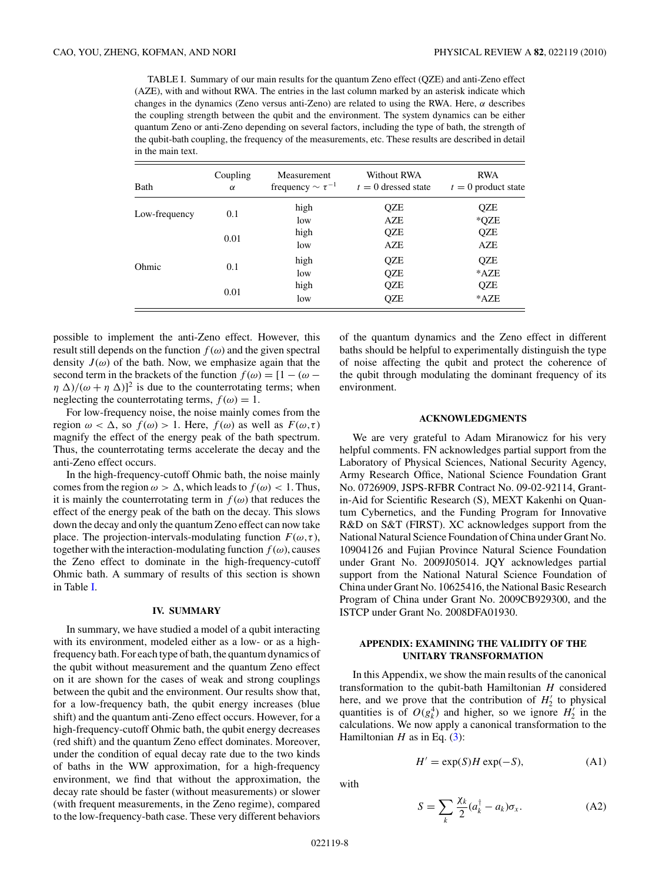TABLE I. Summary of our main results for the quantum Zeno effect (QZE) and anti-Zeno effect (AZE), with and without RWA. The entries in the last column marked by an asterisk indicate which changes in the dynamics (Zeno versus anti-Zeno) are related to using the RWA. Here, *α* describes the coupling strength between the qubit and the environment. The system dynamics can be either quantum Zeno or anti-Zeno depending on several factors, including the type of bath, the strength of the qubit-bath coupling, the frequency of the measurements, etc. These results are described in detail in the main text.

| Bath          | Coupling<br>$\alpha$ | Measurement<br>frequency $\sim \tau^{-1}$ | Without RWA<br>$t=0$ dressed state | <b>RWA</b><br>$t=0$ product state |
|---------------|----------------------|-------------------------------------------|------------------------------------|-----------------------------------|
| Low-frequency | 0.1                  | high                                      | QZE                                | QZE                               |
|               |                      | low                                       | AZE                                | *QZE                              |
| Ohmic         | 0.01                 | high                                      | QZE                                | QZE                               |
|               |                      | low                                       | AZE                                | AZE                               |
|               | 0.1                  | high                                      | QZE                                | QZE                               |
|               |                      | low                                       | QZE                                | $*$ AZE                           |
|               | 0.01                 | high                                      | QZE                                | QZE                               |
|               |                      | low                                       | QZE                                | $*$ AZE                           |

possible to implement the anti-Zeno effect. However, this result still depends on the function  $f(\omega)$  and the given spectral density  $J(\omega)$  of the bath. Now, we emphasize again that the second term in the brackets of the function  $f(\omega) = [1 - (\omega (\eta \Delta)/(\omega + \eta \Delta)^2$  is due to the counterrotating terms; when neglecting the counterrotating terms,  $f(\omega) = 1$ .

For low-frequency noise, the noise mainly comes from the region  $\omega < \Delta$ , so  $f(\omega) > 1$ . Here,  $f(\omega)$  as well as  $F(\omega, \tau)$ magnify the effect of the energy peak of the bath spectrum. Thus, the counterrotating terms accelerate the decay and the anti-Zeno effect occurs.

In the high-frequency-cutoff Ohmic bath, the noise mainly comes from the region  $\omega > \Delta$ , which leads to  $f(\omega) < 1$ . Thus, it is mainly the counterrotating term in  $f(\omega)$  that reduces the effect of the energy peak of the bath on the decay. This slows down the decay and only the quantum Zeno effect can now take place. The projection-intervals-modulating function  $F(\omega, \tau)$ , together with the interaction-modulating function  $f(\omega)$ , causes the Zeno effect to dominate in the high-frequency-cutoff Ohmic bath. A summary of results of this section is shown in Table I.

#### **IV. SUMMARY**

In summary, we have studied a model of a qubit interacting with its environment, modeled either as a low- or as a highfrequency bath. For each type of bath, the quantum dynamics of the qubit without measurement and the quantum Zeno effect on it are shown for the cases of weak and strong couplings between the qubit and the environment. Our results show that, for a low-frequency bath, the qubit energy increases (blue shift) and the quantum anti-Zeno effect occurs. However, for a high-frequency-cutoff Ohmic bath, the qubit energy decreases (red shift) and the quantum Zeno effect dominates. Moreover, under the condition of equal decay rate due to the two kinds of baths in the WW approximation, for a high-frequency environment, we find that without the approximation, the decay rate should be faster (without measurements) or slower (with frequent measurements, in the Zeno regime), compared to the low-frequency-bath case. These very different behaviors of the quantum dynamics and the Zeno effect in different baths should be helpful to experimentally distinguish the type of noise affecting the qubit and protect the coherence of the qubit through modulating the dominant frequency of its environment.

### **ACKNOWLEDGMENTS**

We are very grateful to Adam Miranowicz for his very helpful comments. FN acknowledges partial support from the Laboratory of Physical Sciences, National Security Agency, Army Research Office, National Science Foundation Grant No. 0726909, JSPS-RFBR Contract No. 09-02-92114, Grantin-Aid for Scientific Research (S), MEXT Kakenhi on Quantum Cybernetics, and the Funding Program for Innovative R&D on S&T (FIRST). XC acknowledges support from the National Natural Science Foundation of China under Grant No. 10904126 and Fujian Province Natural Science Foundation under Grant No. 2009J05014. JQY acknowledges partial support from the National Natural Science Foundation of China under Grant No. 10625416, the National Basic Research Program of China under Grant No. 2009CB929300, and the ISTCP under Grant No. 2008DFA01930.

# **APPENDIX: EXAMINING THE VALIDITY OF THE UNITARY TRANSFORMATION**

In this Appendix, we show the main results of the canonical transformation to the qubit-bath Hamiltonian *H* considered here, and we prove that the contribution of  $H_2'$  to physical quantities is of  $O(g_k^4)$  and higher, so we ignore  $H_2^{\prime}$  in the calculations. We now apply a canonical transformation to the Hamiltonian  $H$  as in Eq. [\(3\)](#page-1-0):

$$
H' = \exp(S)H \exp(-S), \tag{A1}
$$

with

$$
S = \sum_{k} \frac{\chi_k}{2} (a_k^{\dagger} - a_k) \sigma_x.
$$
 (A2)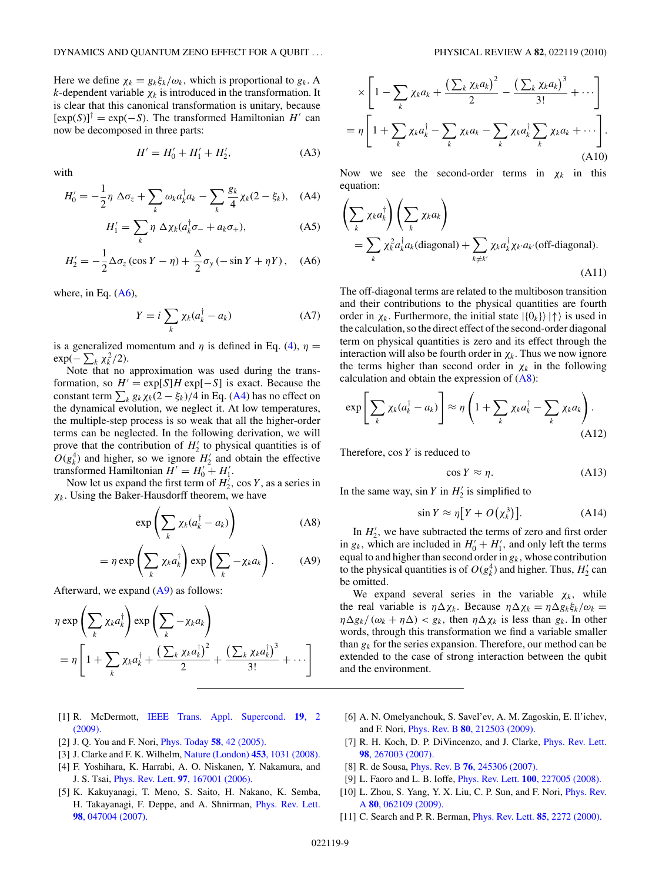<span id="page-8-0"></span>Here we define  $\chi_k = g_k \xi_k / \omega_k$ , which is proportional to  $g_k$ . A *k*-dependent variable  $\chi_k$  is introduced in the transformation. It is clear that this canonical transformation is unitary, because  $[\exp(S)]^{\dagger} = \exp(-S)$ . The transformed Hamiltonian *H'* can now be decomposed in three parts:

$$
H' = H'_0 + H'_1 + H'_2, \tag{A3}
$$

with

$$
H_0' = -\frac{1}{2}\eta \Delta \sigma_z + \sum_k \omega_k a_k^\dagger a_k - \sum_k \frac{g_k}{4} \chi_k (2 - \xi_k), \quad (A4)
$$

$$
H'_{1} = \sum_{k} \eta \, \Delta \chi_{k} (a_{k}^{\dagger} \sigma_{-} + a_{k} \sigma_{+}), \tag{A5}
$$

$$
H_2' = -\frac{1}{2}\Delta\sigma_z(\cos Y - \eta) + \frac{\Delta}{2}\sigma_y(-\sin Y + \eta Y), \quad (A6)
$$

where, in Eq.  $(A6)$ ,

$$
Y = i \sum_{k} \chi_{k}(a_{k}^{\dagger} - a_{k})
$$
 (A7)

is a generalized momentum and  $\eta$  is defined in Eq. [\(4\)](#page-1-0),  $\eta$  =  $\exp(-\sum_k \chi_k^2/2)$ .

Note that no approximation was used during the transformation, so  $H' = \exp[S]H \exp[-S]$  is exact. Because the constant term  $\sum_k g_k \chi_k(2 - \xi_k)/4$  in Eq. (A4) has no effect on the dynamical evolution, we neglect it. At low temperatures, the multiple-step process is so weak that all the higher-order terms can be neglected. In the following derivation, we will prove that the contribution of  $H_2'$  to physical quantities is of  $O(g_k^4)$  and higher, so we ignore  $H'_2$  and obtain the effective transformed Hamiltonian  $H' = H'_0 + H'_1$ .

Now let us expand the first term of  $H_2^{\prime}$ , cos *Y*, as a series in *χk.* Using the Baker-Hausdorff theorem, we have

$$
\exp\left(\sum_{k} \chi_{k}(a_{k}^{\dagger} - a_{k})\right) \tag{A8}
$$

$$
= \eta \exp\left(\sum_{k} \chi_{k} a_{k}^{\dagger}\right) \exp\left(\sum_{k} -\chi_{k} a_{k}\right). \tag{A9}
$$

Afterward, we expand  $(A9)$  as follows:

$$
\eta \exp\left(\sum_{k} \chi_{k} a_{k}^{\dagger}\right) \exp\left(\sum_{k} -\chi_{k} a_{k}\right)
$$
  
= 
$$
\eta \left[1 + \sum_{k} \chi_{k} a_{k}^{\dagger} + \frac{\left(\sum_{k} \chi_{k} a_{k}^{\dagger}\right)^{2}}{2} + \frac{\left(\sum_{k} \chi_{k} a_{k}^{\dagger}\right)^{3}}{3!} + \cdots\right]
$$

- [1] R. McDermott, [IEEE Trans. Appl. Supercond.](http://dx.doi.org/10.1109/TASC.2008.2012255) **19**, 2 [\(2009\).](http://dx.doi.org/10.1109/TASC.2008.2012255)
- [2] J. Q. You and F. Nori, [Phys. Today](http://dx.doi.org/10.1063/1.2155757) **58**, 42 (2005).
- [3] J. Clarke and F. K. Wilhelm, [Nature \(London\)](http://dx.doi.org/10.1038/nature07128) **453**, 1031 (2008).
- [4] F. Yoshihara, K. Harrabi, A. O. Niskanen, Y. Nakamura, and J. S. Tsai, Phys. Rev. Lett. **97**[, 167001 \(2006\).](http://dx.doi.org/10.1103/PhysRevLett.97.167001)
- [5] K. Kakuyanagi, T. Meno, S. Saito, H. Nakano, K. Semba, H. Takayanagi, F. Deppe, and A. Shnirman, [Phys. Rev. Lett.](http://dx.doi.org/10.1103/PhysRevLett.98.047004) **98**[, 047004 \(2007\).](http://dx.doi.org/10.1103/PhysRevLett.98.047004)

$$
\times \left[1 - \sum_{k} \chi_{k} a_{k} + \frac{\left(\sum_{k} \chi_{k} a_{k}\right)^{2}}{2} - \frac{\left(\sum_{k} \chi_{k} a_{k}\right)^{3}}{3!} + \cdots\right]
$$

$$
= \eta \left[1 + \sum_{k} \chi_{k} a_{k}^{\dagger} - \sum_{k} \chi_{k} a_{k} - \sum_{k} \chi_{k} a_{k}^{\dagger} \sum_{k} \chi_{k} a_{k} + \cdots\right].
$$
(A10)

Now we see the second-order terms in  $\chi_k$  in this equation:

$$
\left(\sum_{k} \chi_{k} a_{k}^{\dagger}\right) \left(\sum_{k} \chi_{k} a_{k}\right)
$$
\n
$$
= \sum_{k} \chi_{k}^{2} a_{k}^{\dagger} a_{k} \text{(diagonal)} + \sum_{k \neq k'} \chi_{k} a_{k}^{\dagger} \chi_{k'} a_{k'} \text{(off-diagonal)}.
$$
\n(A11)

The off-diagonal terms are related to the multiboson transition and their contributions to the physical quantities are fourth order in  $\chi_k$ . Furthermore, the initial state  $|\{0_k\}\rangle \rangle \uparrow \rangle$  is used in the calculation, so the direct effect of the second-order diagonal term on physical quantities is zero and its effect through the interaction will also be fourth order in  $\chi_k$ . Thus we now ignore the terms higher than second order in  $\chi_k$  in the following calculation and obtain the expression of  $(A8)$ :

$$
\exp\left[\sum_{k} \chi_{k}(a_{k}^{\dagger} - a_{k})\right] \approx \eta \left(1 + \sum_{k} \chi_{k} a_{k}^{\dagger} - \sum_{k} \chi_{k} a_{k}\right). \tag{A12}
$$

Therefore, cos *Y* is reduced to

$$
\cos Y \approx \eta. \tag{A13}
$$

In the same way,  $\sin Y$  in  $H'_2$  is simplified to

$$
\sin Y \approx \eta \big[ Y + O\big(\chi_k^3\big) \big]. \tag{A14}
$$

In  $H_2'$ , we have subtracted the terms of zero and first order in  $g_k$ , which are included in  $H'_0 + H'_1$ , and only left the terms equal to and higher than second order in  $g_k$ , whose contribution to the physical quantities is of  $O(g_k^4)$  and higher. Thus,  $H'_2$  can be omitted.

We expand several series in the variable  $\chi_k$ , while the real variable is  $\eta \Delta \chi_k$ . Because  $\eta \Delta \chi_k = \eta \Delta g_k \xi_k / \omega_k =$  $\eta \Delta g_k / (\omega_k + \eta \Delta) < g_k$ , then  $\eta \Delta \chi_k$  is less than  $g_k$ . In other words, through this transformation we find a variable smaller than  $g_k$  for the series expansion. Therefore, our method can be extended to the case of strong interaction between the qubit and the environment.

- [6] A. N. Omelyanchouk, S. Savel'ev, A. M. Zagoskin, E. Il'ichev, and F. Nori, Phys. Rev. B **80**[, 212503 \(2009\).](http://dx.doi.org/10.1103/PhysRevB.80.212503)
- [7] R. H. Koch, D. P. DiVincenzo, and J. Clarke, *[Phys. Rev. Lett.](http://dx.doi.org/10.1103/PhysRevLett.98.267003)* **98**[, 267003 \(2007\).](http://dx.doi.org/10.1103/PhysRevLett.98.267003)
- [8] R. de Sousa, Phys. Rev. B **76**[, 245306 \(2007\).](http://dx.doi.org/10.1103/PhysRevB.76.245306)
- [9] L. Faoro and L. B. Ioffe, Phys. Rev. Lett. **100**[, 227005 \(2008\).](http://dx.doi.org/10.1103/PhysRevLett.100.227005)
- [10] L. Zhou, S. Yang, Y. X. Liu, C. P. Sun, and F. Nori, *[Phys. Rev.](http://dx.doi.org/10.1103/PhysRevA.80.062109)* A **80**[, 062109 \(2009\).](http://dx.doi.org/10.1103/PhysRevA.80.062109)
- [11] C. Search and P. R. Berman, [Phys. Rev. Lett.](http://dx.doi.org/10.1103/PhysRevLett.85.2272) **85**, 2272 (2000).